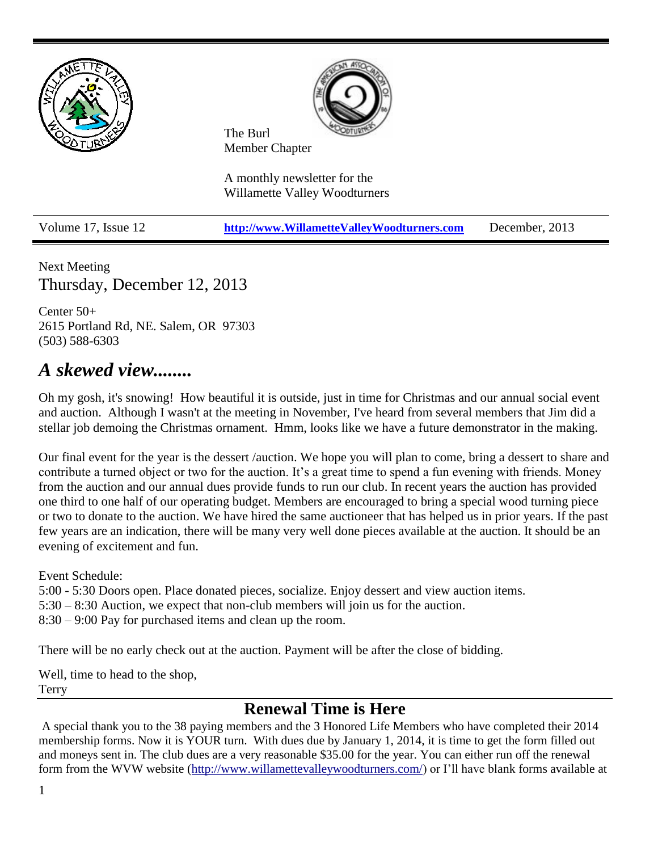

Next Meeting Thursday, December 12, 2013

Center 50+ 2615 Portland Rd, NE. Salem, OR 97303 (503) 588-6303

# *A skewed view........*

Oh my gosh, it's snowing! How beautiful it is outside, just in time for Christmas and our annual social event and auction. Although I wasn't at the meeting in November, I've heard from several members that Jim did a stellar job demoing the Christmas ornament. Hmm, looks like we have a future demonstrator in the making.

Our final event for the year is the dessert /auction. We hope you will plan to come, bring a dessert to share and contribute a turned object or two for the auction. It's a great time to spend a fun evening with friends. Money from the auction and our annual dues provide funds to run our club. In recent years the auction has provided one third to one half of our operating budget. Members are encouraged to bring a special wood turning piece or two to donate to the auction. We have hired the same auctioneer that has helped us in prior years. If the past few years are an indication, there will be many very well done pieces available at the auction. It should be an evening of excitement and fun.

Event Schedule:

5:00 - 5:30 Doors open. Place donated pieces, socialize. Enjoy dessert and view auction items.

5:30 – 8:30 Auction, we expect that non-club members will join us for the auction.

8:30 – 9:00 Pay for purchased items and clean up the room.

There will be no early check out at the auction. Payment will be after the close of bidding.

Well, time to head to the shop, Terry

## **Renewal Time is Here**

A special thank you to the 38 paying members and the 3 Honored Life Members who have completed their 2014 membership forms. Now it is YOUR turn. With dues due by January 1, 2014, it is time to get the form filled out and moneys sent in. The club dues are a very reasonable \$35.00 for the year. You can either run off the renewal form from the WVW website [\(http://www.willamettevalleywoodturners.com/\)](http://www.willamettevalleywoodturners.com/) or I'll have blank forms available at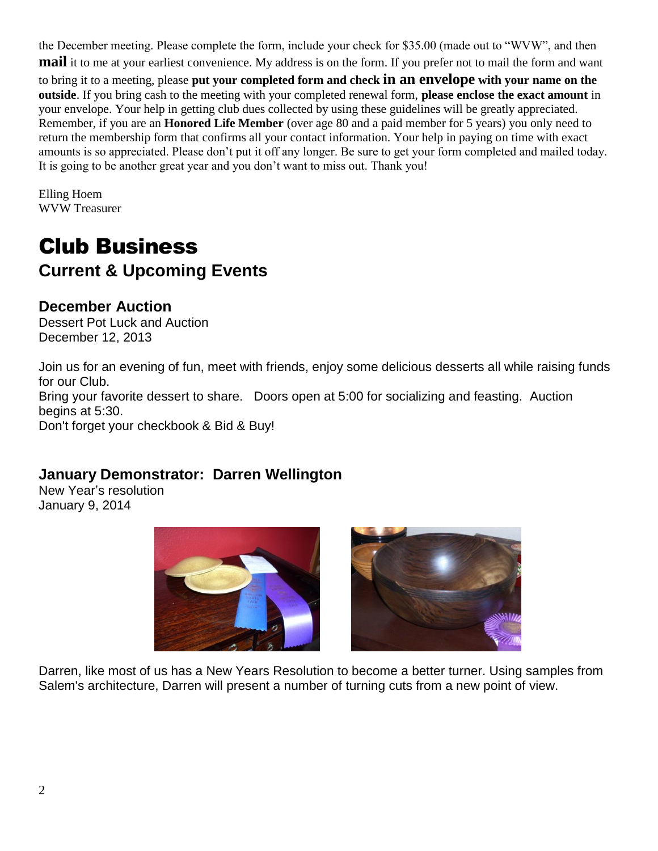the December meeting. Please complete the form, include your check for \$35.00 (made out to "WVW", and then **mail** it to me at your earliest convenience. My address is on the form. If you prefer not to mail the form and want to bring it to a meeting, please **put your completed form and check in an envelope with your name on the outside**. If you bring cash to the meeting with your completed renewal form, **please enclose the exact amount** in your envelope. Your help in getting club dues collected by using these guidelines will be greatly appreciated. Remember, if you are an **Honored Life Member** (over age 80 and a paid member for 5 years) you only need to return the membership form that confirms all your contact information. Your help in paying on time with exact amounts is so appreciated. Please don't put it off any longer. Be sure to get your form completed and mailed today. It is going to be another great year and you don't want to miss out. Thank you!

Elling Hoem WVW Treasurer

# Club Business **Current & Upcoming Events**

### **December Auction**

Dessert Pot Luck and Auction December 12, 2013

Join us for an evening of fun, meet with friends, enjoy some delicious desserts all while raising funds for our Club. Bring your favorite dessert to share. Doors open at 5:00 for socializing and feasting. Auction begins at 5:30. Don't forget your checkbook & Bid & Buy!

### **January Demonstrator: Darren Wellington**

New Year's resolution January 9, 2014





Darren, like most of us has a New Years Resolution to become a better turner. Using samples from Salem's architecture, Darren will present a number of turning cuts from a new point of view.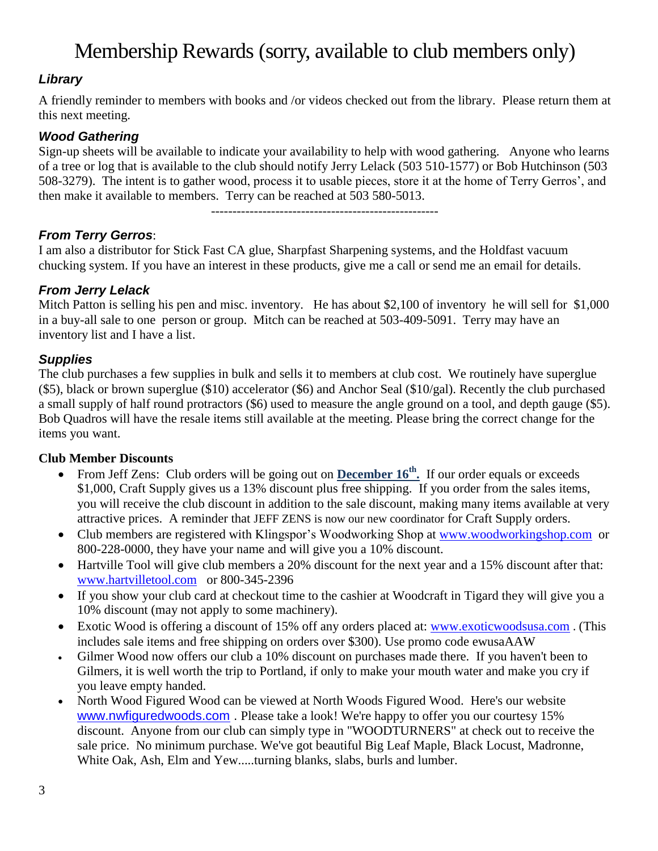# Membership Rewards (sorry, available to club members only)

#### *Library*

A friendly reminder to members with books and /or videos checked out from the library. Please return them at this next meeting.

#### *Wood Gathering*

Sign-up sheets will be available to indicate your availability to help with wood gathering. Anyone who learns of a tree or log that is available to the club should notify Jerry Lelack (503 510-1577) or Bob Hutchinson (503 508-3279). The intent is to gather wood, process it to usable pieces, store it at the home of Terry Gerros', and then make it available to members. Terry can be reached at 503 580-5013.

-----------------------------------------------------

*From Terry Gerros*:

I am also a distributor for Stick Fast CA glue, Sharpfast Sharpening systems, and the Holdfast vacuum chucking system. If you have an interest in these products, give me a call or send me an email for details.

#### *From Jerry Lelack*

Mitch Patton is selling his pen and misc. inventory. He has about \$2,100 of inventory he will sell for \$1,000 in a buy-all sale to one person or group. Mitch can be reached at 503-409-5091. Terry may have an inventory list and I have a list.

#### *Supplies*

The club purchases a few supplies in bulk and sells it to members at club cost. We routinely have superglue (\$5), black or brown superglue (\$10) accelerator (\$6) and Anchor Seal (\$10/gal). Recently the club purchased a small supply of half round protractors (\$6) used to measure the angle ground on a tool, and depth gauge (\$5). Bob Quadros will have the resale items still available at the meeting. Please bring the correct change for the items you want.

#### **Club Member Discounts**

- From Jeff Zens: Club orders will be going out on **December 16th .** If our order equals or exceeds \$1,000, Craft Supply gives us a 13% discount plus free shipping. If you order from the sales items, you will receive the club discount in addition to the sale discount, making many items available at very attractive prices. A reminder that JEFF ZENS is now our new coordinator for Craft Supply orders.
- Club members are registered with Klingspor's Woodworking Shop at [www.woodworkingshop.com](http://www.woodworkingshop.com/) or 800-228-0000, they have your name and will give you a 10% discount.
- Hartville Tool will give club members a 20% discount for the next year and a 15% discount after that: [www.hartvilletool.com](http://www.hartvilletool.com/) or 800-345-2396
- If you show your club card at checkout time to the cashier at Woodcraft in Tigard they will give you a 10% discount (may not apply to some machinery).
- Exotic Wood is offering a discount of 15% off any orders placed at: [www.exoticwoodsusa.com](http://www.exoticwoodsusa.com/) . (This includes sale items and free shipping on orders over \$300). Use promo code ewusaAAW
- Gilmer Wood now offers our club a 10% discount on purchases made there. If you haven't been to Gilmers, it is well worth the trip to Portland, if only to make your mouth water and make you cry if you leave empty handed.
- North Wood Figured Wood can be viewed at North Woods Figured Wood. Here's our website [www.nwfiguredwoods.com](http://www.nwfiguredwoods.com/) . Please take a look! We're happy to offer you our courtesy 15% discount. Anyone from our club can simply type in "WOODTURNERS" at check out to receive the sale price. No minimum purchase. We've got beautiful Big Leaf Maple, Black Locust, Madronne, White Oak, Ash, Elm and Yew.....turning blanks, slabs, burls and lumber.